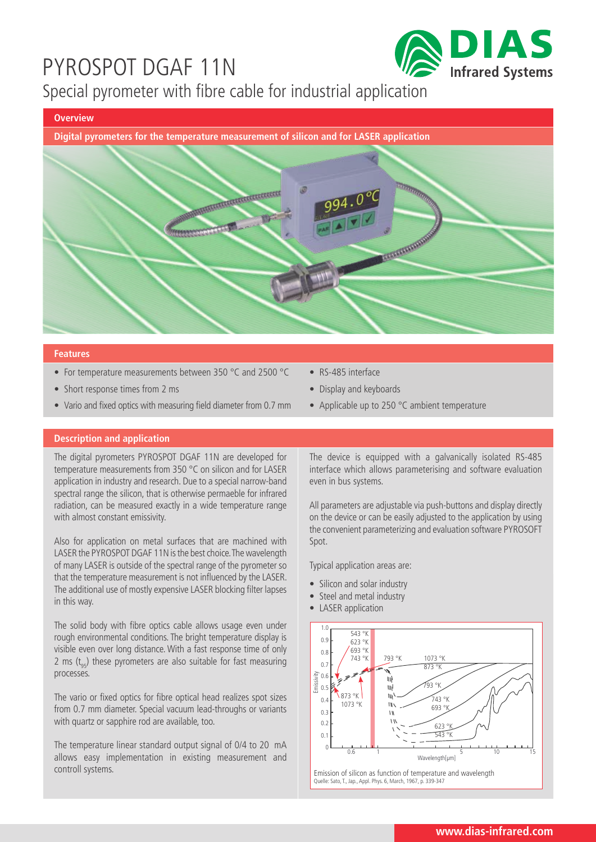

Special pyrometer with fibre cable for industrial application

#### **Overview**

**Digital pyrometers for the temperature measurement of silicon and for LASER application**



#### **Features**

- For temperature measurements between 350 °C and 2500 °C
- Short response times from 2 ms
- Vario and fixed optics with measuring field diameter from 0.7 mm
- RS-485 interface
- Display and keyboards
- Applicable up to 250 °C ambient temperature

#### **Description and application**

The digital pyrometers PYROSPOT DGAF 11N are developed for temperature measurements from 350 °C on silicon and for LASER application in industry and research. Due to a special narrow-band spectral range the silicon, that is otherwise permaeble for infrared radiation, can be measured exactly in a wide temperature range with almost constant emissivity.

Also for application on metal surfaces that are machined with LASER the PYROSPOT DGAF 11N is the best choice. The wavelength of many LASER is outside of the spectral range of the pyrometer so that the temperature measurement is not influenced by the LASER. The additional use of mostly expensive LASER blocking filter lapses in this way.

The solid body with fibre optics cable allows usage even under rough environmental conditions. The bright temperature display is visible even over long distance. With a fast response time of only 2 ms  $(t_{0s})$  these pyrometers are also suitable for fast measuring processes.

The vario or fixed optics for fibre optical head realizes spot sizes from 0.7 mm diameter. Special vacuum lead-throughs or variants with quartz or sapphire rod are available, too.

The temperature linear standard output signal of 0/4 to 20 mA allows easy implementation in existing measurement and controll systems.

The device is equipped with a galvanically isolated RS-485 interface which allows parameterising and software evaluation even in bus systems.

All parameters are adjustable via push-buttons and display directly on the device or can be easily adjusted to the application by using the convenient parameterizing and evaluation software PYROSOFT Spot.

Typical application areas are:

- Silicon and solar industry
- Steel and metal industry
- LASER application



**www.dias-infrared.com**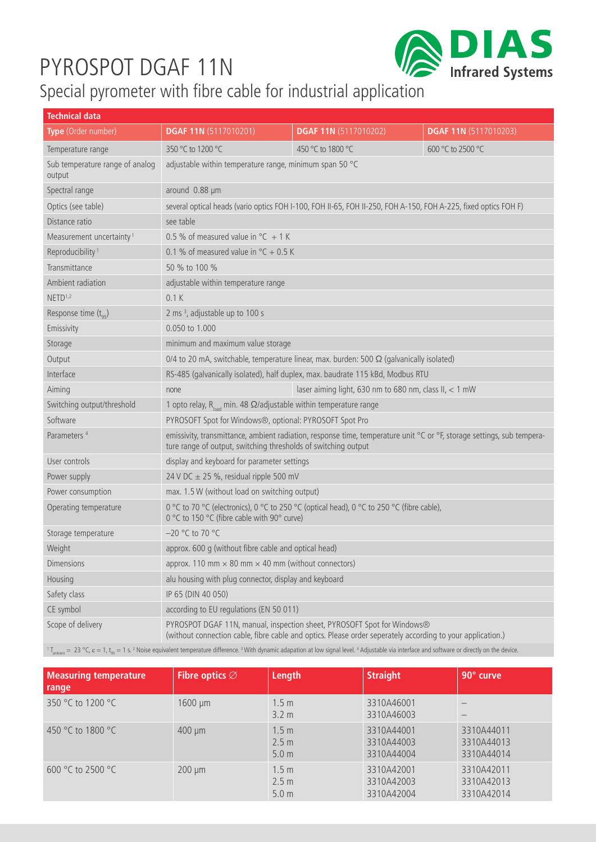

### Special pyrometer with fibre cable for industrial application

| <b>Technical data</b>                                                                                                                                                                                                                                       |                                                                                                                                                                                          |                                                                                                                 |                       |  |  |  |  |
|-------------------------------------------------------------------------------------------------------------------------------------------------------------------------------------------------------------------------------------------------------------|------------------------------------------------------------------------------------------------------------------------------------------------------------------------------------------|-----------------------------------------------------------------------------------------------------------------|-----------------------|--|--|--|--|
| Type (Order number)                                                                                                                                                                                                                                         | DGAF 11N (5117010201)                                                                                                                                                                    | DGAF 11N (5117010202)                                                                                           | DGAF 11N (5117010203) |  |  |  |  |
| Temperature range                                                                                                                                                                                                                                           | 350 °C to 1200 °C                                                                                                                                                                        | 450 °C to 1800 °C                                                                                               | 600 °C to 2500 °C     |  |  |  |  |
| Sub temperature range of analog<br>output                                                                                                                                                                                                                   | adjustable within temperature range, minimum span 50 °C                                                                                                                                  |                                                                                                                 |                       |  |  |  |  |
| Spectral range                                                                                                                                                                                                                                              | around 0.88 µm                                                                                                                                                                           |                                                                                                                 |                       |  |  |  |  |
| Optics (see table)                                                                                                                                                                                                                                          |                                                                                                                                                                                          | several optical heads (vario optics FOH I-100, FOH II-65, FOH II-250, FOH A-150, FOH A-225, fixed optics FOH F) |                       |  |  |  |  |
| Distance ratio                                                                                                                                                                                                                                              | see table                                                                                                                                                                                |                                                                                                                 |                       |  |  |  |  |
| Measurement uncertainty <sup>1</sup>                                                                                                                                                                                                                        | 0.5 % of measured value in ${}^{\circ}C + 1K$                                                                                                                                            |                                                                                                                 |                       |  |  |  |  |
| Reproducibility <sup>1</sup>                                                                                                                                                                                                                                | 0.1 % of measured value in ${}^{\circ}$ C + 0.5 K                                                                                                                                        |                                                                                                                 |                       |  |  |  |  |
| Transmittance                                                                                                                                                                                                                                               | 50 % to 100 %                                                                                                                                                                            |                                                                                                                 |                       |  |  |  |  |
| Ambient radiation                                                                                                                                                                                                                                           | adjustable within temperature range                                                                                                                                                      |                                                                                                                 |                       |  |  |  |  |
| NETD <sup>1,2</sup>                                                                                                                                                                                                                                         | 0.1K                                                                                                                                                                                     |                                                                                                                 |                       |  |  |  |  |
| Response time $(t_{o5})$                                                                                                                                                                                                                                    | 2 ms <sup>3</sup> , adjustable up to 100 s                                                                                                                                               |                                                                                                                 |                       |  |  |  |  |
| Emissivity                                                                                                                                                                                                                                                  | 0.050 to 1.000                                                                                                                                                                           |                                                                                                                 |                       |  |  |  |  |
| Storage                                                                                                                                                                                                                                                     | minimum and maximum value storage                                                                                                                                                        |                                                                                                                 |                       |  |  |  |  |
| Output                                                                                                                                                                                                                                                      | 0/4 to 20 mA, switchable, temperature linear, max. burden: 500 $\Omega$ (galvanically isolated)                                                                                          |                                                                                                                 |                       |  |  |  |  |
| Interface                                                                                                                                                                                                                                                   |                                                                                                                                                                                          | RS-485 (galvanically isolated), half duplex, max. baudrate 115 kBd, Modbus RTU                                  |                       |  |  |  |  |
| Aiming                                                                                                                                                                                                                                                      | none                                                                                                                                                                                     | laser aiming light, 630 nm to 680 nm, class II, $<$ 1 mW                                                        |                       |  |  |  |  |
| Switching output/threshold                                                                                                                                                                                                                                  | 1 opto relay, $R_{load}$ min. 48 $\Omega$ /adjustable within temperature range                                                                                                           |                                                                                                                 |                       |  |  |  |  |
| Software                                                                                                                                                                                                                                                    | PYROSOFT Spot for Windows®, optional: PYROSOFT Spot Pro                                                                                                                                  |                                                                                                                 |                       |  |  |  |  |
| Parameters <sup>4</sup>                                                                                                                                                                                                                                     | emissivity, transmittance, ambient radiation, response time, temperature unit °C or °F, storage settings, sub tempera-<br>ture range of output, switching thresholds of switching output |                                                                                                                 |                       |  |  |  |  |
| User controls                                                                                                                                                                                                                                               | display and keyboard for parameter settings                                                                                                                                              |                                                                                                                 |                       |  |  |  |  |
| Power supply                                                                                                                                                                                                                                                | 24 V DC $\pm$ 25 %, residual ripple 500 mV                                                                                                                                               |                                                                                                                 |                       |  |  |  |  |
| Power consumption                                                                                                                                                                                                                                           | max. 1.5 W (without load on switching output)                                                                                                                                            |                                                                                                                 |                       |  |  |  |  |
| Operating temperature                                                                                                                                                                                                                                       | 0 °C to 70 °C (electronics), 0 °C to 250 °C (optical head), 0 °C to 250 °C (fibre cable),<br>0 °C to 150 °C (fibre cable with 90° curve)                                                 |                                                                                                                 |                       |  |  |  |  |
| Storage temperature                                                                                                                                                                                                                                         | $-20$ °C to 70 °C                                                                                                                                                                        |                                                                                                                 |                       |  |  |  |  |
| Weight                                                                                                                                                                                                                                                      | approx. 600 g (without fibre cable and optical head)                                                                                                                                     |                                                                                                                 |                       |  |  |  |  |
| Dimensions                                                                                                                                                                                                                                                  | approx. 110 mm $\times$ 80 mm $\times$ 40 mm (without connectors)                                                                                                                        |                                                                                                                 |                       |  |  |  |  |
| Housing                                                                                                                                                                                                                                                     | alu housing with plug connector, display and keyboard                                                                                                                                    |                                                                                                                 |                       |  |  |  |  |
| Safety class                                                                                                                                                                                                                                                | IP 65 (DIN 40 050)                                                                                                                                                                       |                                                                                                                 |                       |  |  |  |  |
| CE symbol                                                                                                                                                                                                                                                   | according to EU regulations (EN 50 011)                                                                                                                                                  |                                                                                                                 |                       |  |  |  |  |
| Scope of delivery                                                                                                                                                                                                                                           | PYROSPOT DGAF 11N, manual, inspection sheet, PYROSOFT Spot for Windows®<br>(without connection cable, fibre cable and optics. Please order seperately according to your application.)    |                                                                                                                 |                       |  |  |  |  |
| $T_{\text{subline}} = 23 \text{ °C}, \varepsilon = 1, t_{\text{loc}} = 1 \text{ s.}^2$ Noise equivalent temperature difference. <sup>3</sup> With dynamic adapation at low signal level. 4 Adjustable via interface and software or directly on the device. |                                                                                                                                                                                          |                                                                                                                 |                       |  |  |  |  |

 $T_{\text{ambient}}$  = 23 °C, ε = 1, t<sub>95</sub> = 1 s. <sup>2</sup>

| <b>Measuring temperature</b><br>range | Fibre optics $\varnothing$ | Length                                                   | <b>Straight</b>                        | 90° curve                              |
|---------------------------------------|----------------------------|----------------------------------------------------------|----------------------------------------|----------------------------------------|
| 350 °C to 1200 °C                     | $1600 \mu m$               | 1.5 <sub>m</sub><br>3.2 <sub>m</sub>                     | 3310A46001<br>3310A46003               |                                        |
| 450 °C to 1800 °C                     | $400 \mu m$                | 1.5 <sub>m</sub><br>2.5 <sub>m</sub><br>5.0 <sub>m</sub> | 3310A44001<br>3310A44003<br>3310A44004 | 3310A44011<br>3310A44013<br>3310A44014 |
| 600 °C to 2500 °C                     | $200 \mu m$                | 1.5 <sub>m</sub><br>2.5 <sub>m</sub><br>5.0 <sub>m</sub> | 3310A42001<br>3310A42003<br>3310A42004 | 3310A42011<br>3310A42013<br>3310A42014 |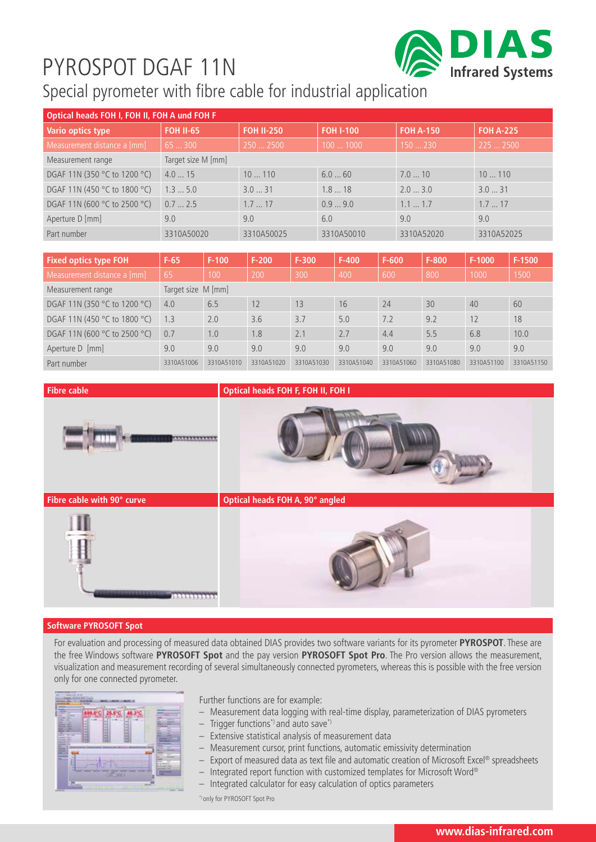

Special pyrometer with fibre cable for industrial application

| Optical heads FOH I, FOH II, FOH A und FOH F |                    |                   |                  |                  |                  |  |
|----------------------------------------------|--------------------|-------------------|------------------|------------------|------------------|--|
| Vario optics type                            | <b>FOH II-65</b>   | <b>FOH II-250</b> | <b>FOH I-100</b> | <b>FOH A-150</b> | <b>FOH A-225</b> |  |
| Measurement distance a [mm]                  | 65  300            | 250  2500         | 1001000          | 150230           | 225  2500        |  |
| Measurement range                            | Target size M [mm] |                   |                  |                  |                  |  |
| DGAF 11N (350 °C to 1200 °C)                 | 4.015              | 10110             | 6.060            | 7.010            | 10110            |  |
| DGAF 11N (450 °C to 1800 °C)                 | 1.35.0             | 3.031             | 1.818            | 2.03.0           | 3.031            |  |
| DGAF 11N (600 °C to 2500 °C)                 | 0.72.5             | 1.717             | 0.99.0           | 1.11.7           | 1.717            |  |
| Aperture D [mm]                              | 9.0                | 9.0               | 6.0              | 9.0              | 9.0              |  |
| Part number                                  | 3310A50020         | 3310A50025        | 3310A50010       | 3310A52020       | 3310A52025       |  |

| <b>Fixed optics type FOH</b> | $F-65$             | $F-100$    | $F-200$    | $F-300$    | $F-400$    | F-600      | $F-800$    | $F-1000$   | F-1500     |
|------------------------------|--------------------|------------|------------|------------|------------|------------|------------|------------|------------|
| Measurement distance a [mm]  | 65                 | 100        | 200        | 300        | 400        | 600        | 800        | 1000       | 1500       |
| Measurement range            | Target size M [mm] |            |            |            |            |            |            |            |            |
| DGAF 11N (350 °C to 1200 °C) | 4.0                | 6.5        | 12         | 13         | 16         | 24         | 30         | 40         | 60         |
| DGAF 11N (450 °C to 1800 °C) | 1.3                | 2.0        | 3.6        | 3.7        | 5.0        | 7.2        | 9.2        | 12         | 18         |
| DGAF 11N (600 °C to 2500 °C) | 0.7                | 1.0        | 1.8        | 2.1        | 2.7        | 4.4        | 5.5        | 6.8        | 10.0       |
| Aperture D [mm]              | 9.0                | 9.0        | 9.0        | 9.0        | 9.0        | 9.0        | 9.0        | 9.0        | 9.0        |
| Part number                  | 3310A51006         | 3310A51010 | 3310A51020 | 3310A51030 | 3310A51040 | 3310A51060 | 3310A51080 | 3310A51100 | 3310A51150 |



**Optical heads FOH F, FOH II, FOH I**



### **Software PYROSOFT Spot**

For evaluation and processing of measured data obtained DIAS provides two software variants for its pyrometer **PYROSPOT**. These are the free Windows software **PYROSOFT Spot** and the pay version **PYROSOFT Spot Pro**. The Pro version allows the measurement, visualization and measurement recording of several simultaneously connected pyrometers, whereas this is possible with the free version only for one connected pyrometer.

| standing front for the<br><b>HALL</b><br><b>March 19</b><br>٠                                                  | <b>ALCOHOL:</b>       | <b>PRIFE, IL ROZEC III BRUTE, IL</b> |                                      |                                                                                       |                                                                                                            |
|----------------------------------------------------------------------------------------------------------------|-----------------------|--------------------------------------|--------------------------------------|---------------------------------------------------------------------------------------|------------------------------------------------------------------------------------------------------------|
| ٠                                                                                                              | ١                     |                                      |                                      | _                                                                                     |                                                                                                            |
| --<br>٠<br>Tom Aren<br><br><b>HARAS</b><br><br>$\sim$<br><br>$\sim$<br><b>The Contract</b><br>÷<br>-<br>-<br>- | ٠<br>m<br>٠<br>×<br>٠ | <b>REM</b><br>-1<br>۰<br>×           | <b>SHOW</b><br>٠<br>٠<br>-<br>m<br>m | ٠<br>÷<br>۰<br>-<br>۰<br>÷                                                            | $\frac{1}{2} \left( \frac{1}{2} \right) \left( \frac{1}{2} \right) \left( \frac{1}{2} \right)$<br>---<br>÷ |
| ×<br>سند<br>÷<br><b>STORY</b><br>m<br><b>SALES</b><br>-<br>×<br><b>Sept.</b><br>-<br><b>Water</b><br>-         | ۰<br>m<br>۰<br>٠<br>- | ÷<br>۰<br>٠<br>۰<br>٠                | ×<br>m<br>w<br>w<br>٠                | ÷<br><br>-<br>۰<br>-                                                                  | m<br>٠                                                                                                     |
| -<br>--<br>۰<br>÷<br>٠<br>٠<br>٠.                                                                              |                       |                                      |                                      | =<br>٠<br>z<br>-<br><b>START</b><br>×<br>٠<br>-<br><b>ALCOHOL:</b><br><b>Building</b> | ۰<br>٠<br>-<br>-                                                                                           |
| ×<br>$-200$                                                                                                    |                       | и<br>٠<br><b>SERVICE</b><br>ديد      | ٠<br>$\cdots$                        | <b>Marine College</b><br>m                                                            | ÷                                                                                                          |
| <b>Particularly</b>                                                                                            |                       |                                      |                                      |                                                                                       | $\overline{\phantom{a}}$<br>-                                                                              |

Further functions are for example:

- Measurement data logging with real-time display, parameterization of DIAS pyrometers
- $-$  Trigger functions<sup>\*</sup>) and auto save<sup>\*)</sup>
- Extensive statistical analysis of measurement data
- Measurement cursor, print functions, automatic emissivity determination
- Export of measured data as text file and automatic creation of Microsoft Excel® spreadsheets
- Integrated report function with customized templates for Microsoft Word®
- Integrated calculator for easy calculation of optics parameters

\*) only for PYROSOFT Spot Pro